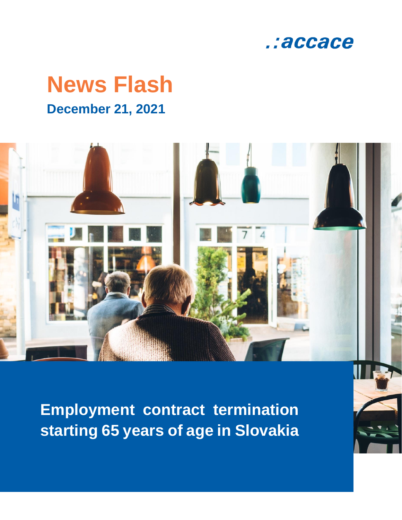

# **News Flash December 21, 2021**



**Employment contract termination starting 65 years of age in Slovakia**

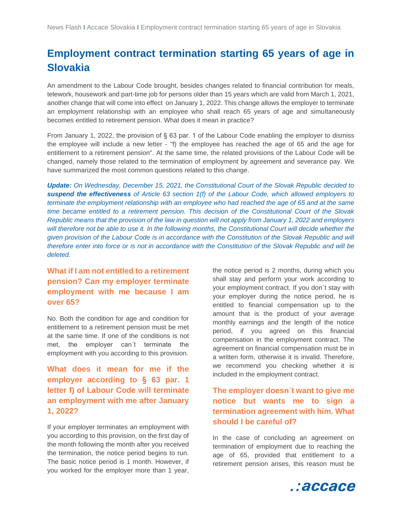## **Employment contract termination starting 65 years of age in Slovakia**

An amendment to the Labour Code brought, besides changes related to financial contribution for meals, telework, housework and part-time job for persons older than 15 years which are valid from March 1, 2021, another change that will come into effect on January 1, 2022. This change allows the employer to terminate an employment relationship with an employee who shall reach 65 years of age and simultaneously becomes entitled to retirement pension. What does it mean in practice?

From January 1, 2022, the provision of § 63 par. 1 of the Labour Code enabling the employer to dismiss the employee will include a new letter - "f) the employee has reached the age of 65 and the age for entitlement to a retirement pension". At the same time, the related provisions of the Labour Code will be changed, namely those related to the termination of employment by agreement and severance pay. We have summarized the most common questions related to this change.

*Update: On Wednesday, December 15, 2021, the Constitutional Court of the Slovak Republic decided to suspend the effectiveness of Article 63 section 1(f) of the Labour Code, which allowed employers to terminate the employment relationship with an employee who had reached the age of 65 and at the same time became entitled to a retirement pension. This decision of the Constitutional Court of the Slovak Republic means that the provision of the law in question will not apply from January 1, 2022 and employers will therefore not be able to use it. In the following months, the Constitutional Court will decide whether the given provision of the Labour Code is in accordance with the Constitution of the Slovak Republic and will therefore enter into force or is not in accordance with the Constitution of the Slovak Republic and will be deleted.*

#### **What if I am not entitled to a retirement pension? Can my employer terminate employment with me because I am over 65?**

No. Both the condition for age and condition for entitlement to a retirement pension must be met at the same time. If one of the conditions is not met, the employer can´t terminate the employment with you according to this provision.

**What does it mean for me if the employer according to § 63 par. 1 letter f) of Labour Code will terminate an employment with me after January 1, 2022?**

If your employer terminates an employment with you according to this provision, on the first day of the month following the month after you received the termination, the notice period begins to run. The basic notice period is 1 month. However, if you worked for the employer more than 1 year,

the notice period is 2 months, during which you shall stay and perform your work according to your employment contract. If you don´t stay with your employer during the notice period, he is entitled to financial compensation up to the amount that is the product of your average monthly earnings and the length of the notice period, if you agreed on this financial compensation in the employment contract. The agreement on financial compensation must be in a written form, otherwise it is invalid. Therefore, we recommend you checking whether it is included in the employment contract.

#### **The employer doesn´t want to give me notice but wants me to sign a termination agreement with him. What should I be careful of?**

In the case of concluding an agreement on termination of employment due to reaching the age of 65, provided that entitlement to a retirement pension arises, this reason must be

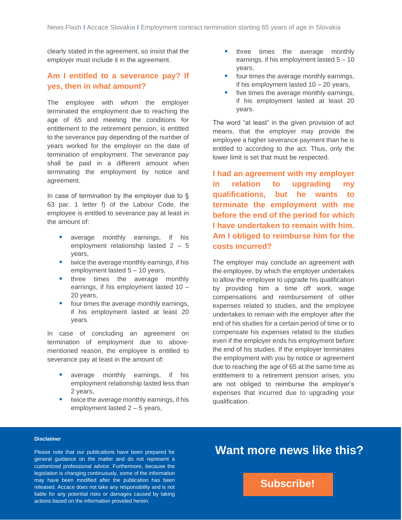clearly stated in the agreement, so insist that the employer must include it in the agreement.

#### **Am I entitled to a severance pay? If yes, then in what amount?**

The employee with whom the employer terminated the employment due to reaching the age of 65 and meeting the conditions for entitlement to the retirement pension, is entitled to the severance pay depending of the number of years worked for the employer on the date of termination of employment. The severance pay shall be paid in a different amount when terminating the employment by notice and agreement.

In case of termination by the employer due to § 63 par. 1 letter f) of the Labour Code, the employee is entitled to severance pay at least in the amount of:

- average monthly earnings, if his employment relationship lasted 2 – 5 years,
- twice the average monthly earnings, if his employment lasted 5 – 10 years,
- **·** three times the average monthly earnings, if his employment lasted 10 – 20 years,
- four times the average monthly earnings, if his employment lasted at least 20 years.

In case of concluding an agreement on termination of employment due to abovementioned reason, the employee is entitled to severance pay at least in the amount of:

- average monthly earnings, if his employment relationship lasted less than 2 years,
- twice the average monthly earnings, if his employment lasted 2 – 5 years,
- **·** three times the average monthly earnings, if his employment lasted 5 – 10 years,
- four times the average monthly earnings, if his employment lasted 10 – 20 years,
- five times the average monthly earnings, if his employment lasted at least 20 years.

The word "at least" in the given provision of act means, that the employer may provide the employee a higher severance payment than he is entitled to according to the act. Thus, only the lower limit is set that must be respected.

**I had an agreement with my employer in relation to upgrading my qualifications, but he wants to terminate the employment with me before the end of the period for which I have undertaken to remain with him. Am I obliged to reimburse him for the costs incurred?**

The employer may conclude an agreement with the employee, by which the employer undertakes to allow the employee to upgrade his qualification by providing him a time off work, wage compensations and reimbursement of other expenses related to studies, and the employee undertakes to remain with the employer after the end of his studies for a certain period of time or to compensate his expenses related to the studies even if the employer ends his employment before the end of his studies. If the employer terminates the employment with you by notice or agreement due to reaching the age of 65 at the same time as entitlement to a retirement pension arises, you are not obliged to reimburse the employer's expenses that incurred due to upgrading your qualification.

#### **Disclaimer**

Please note that our publications have been prepared for general guidance on the matter and do not represent a customized professional advice. Furthermore, because the legislation is changing continuously, some of the information may have been modified after the publication has been released. Accace does not take any responsibility and is not liable for any potential risks or damages caused by taking actions based on the information provided herein.

### **Want more news like this?**

**[Subscribe!](https://accace.com/subscribers-en/?utm_source=Newsletter_Link_Click&utm_medium=PDF&utm_campaign=English_Language_News_Flash)**